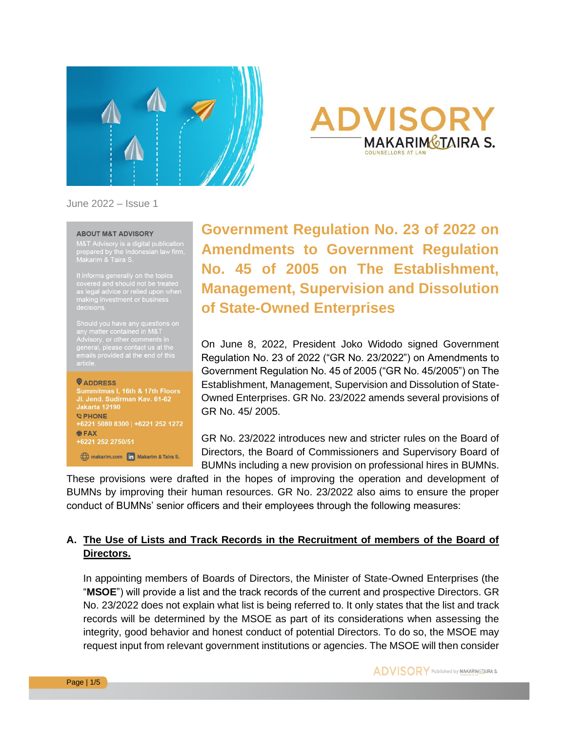



June 2022 – Issue 1

#### **ABOUT M&T ADVISORY**

M&T Advisory is a digital publication<br>prepared by the Indonesian law firm,<br>Makarim & Taira S.

It informs generally on the topics<br>covered and should not be treated<br>as legal advice or relied upon when<br>making investment or business<br>decisions.

Should you have any questions on<br>any matter contained in M&T<br>Advisory, or other comments in<br>general, please contact us at the<br>emails provided at the end of this<br>article.

**O**ADDRESS

Summitmas I, 16th & 17th Floors<br>Jl. Jend. Sudirman Kav. 61-62 **Jakarta 12190** *<b>DPHONE* +6221 5080 8300 | +6221 252 1272 **BEAX** +6221 252 2750/51

makarim.com in Makarim & Taira S.

**Government Regulation No. 23 of 2022 on Amendments to Government Regulation No. 45 of 2005 on The Establishment, Management, Supervision and Dissolution of State-Owned Enterprises**

On June 8, 2022, President Joko Widodo signed Government Regulation No. 23 of 2022 ("GR No. 23/2022") on Amendments to Government Regulation No. 45 of 2005 ("GR No. 45/2005") on The Establishment, Management, Supervision and Dissolution of State-Owned Enterprises. GR No. 23/2022 amends several provisions of GR No. 45/ 2005.

GR No. 23/2022 introduces new and stricter rules on the Board of Directors, the Board of Commissioners and Supervisory Board of BUMNs including a new provision on professional hires in BUMNs.

These provisions were drafted in the hopes of improving the operation and development of BUMNs by improving their human resources. GR No. 23/2022 also aims to ensure the proper conduct of BUMNs' senior officers and their employees through the following measures:

### **A. The Use of Lists and Track Records in the Recruitment of members of the Board of Directors.**

In appointing members of Boards of Directors, the Minister of State-Owned Enterprises (the "**MSOE**") will provide a list and the track records of the current and prospective Directors. GR No. 23/2022 does not explain what list is being referred to. It only states that the list and track records will be determined by the MSOE as part of its considerations when assessing the integrity, good behavior and honest conduct of potential Directors. To do so, the MSOE may request input from relevant government institutions or agencies. The MSOE will then consider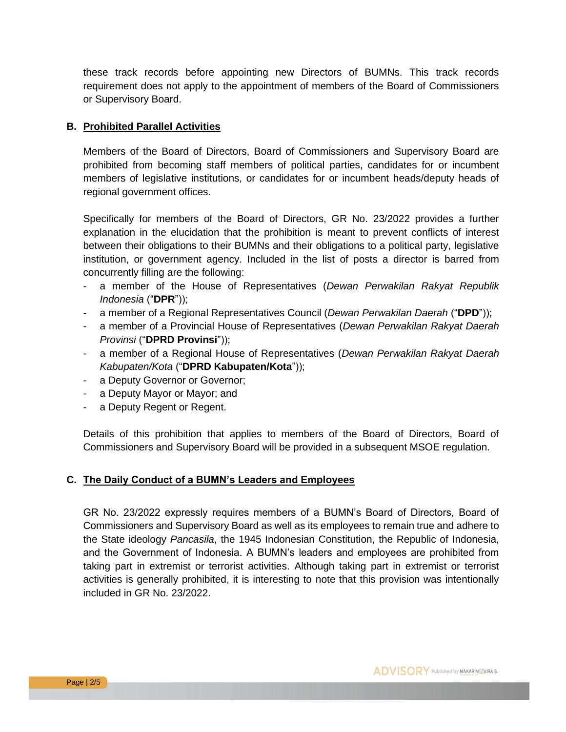these track records before appointing new Directors of BUMNs. This track records requirement does not apply to the appointment of members of the Board of Commissioners or Supervisory Board.

#### **B. Prohibited Parallel Activities**

Members of the Board of Directors, Board of Commissioners and Supervisory Board are prohibited from becoming staff members of political parties, candidates for or incumbent members of legislative institutions, or candidates for or incumbent heads/deputy heads of regional government offices.

Specifically for members of the Board of Directors, GR No. 23/2022 provides a further explanation in the elucidation that the prohibition is meant to prevent conflicts of interest between their obligations to their BUMNs and their obligations to a political party, legislative institution, or government agency. Included in the list of posts a director is barred from concurrently filling are the following:

- a member of the House of Representatives (*Dewan Perwakilan Rakyat Republik Indonesia* ("**DPR**"));
- a member of a Regional Representatives Council (*Dewan Perwakilan Daerah* ("**DPD**"));
- a member of a Provincial House of Representatives (*Dewan Perwakilan Rakyat Daerah Provinsi* ("**DPRD Provinsi**"));
- a member of a Regional House of Representatives (*Dewan Perwakilan Rakyat Daerah Kabupaten/Kota* ("**DPRD Kabupaten/Kota**"));
- a Deputy Governor or Governor;
- a Deputy Mayor or Mayor; and
- a Deputy Regent or Regent.

Details of this prohibition that applies to members of the Board of Directors, Board of Commissioners and Supervisory Board will be provided in a subsequent MSOE regulation.

#### **C. The Daily Conduct of a BUMN's Leaders and Employees**

GR No. 23/2022 expressly requires members of a BUMN's Board of Directors, Board of Commissioners and Supervisory Board as well as its employees to remain true and adhere to the State ideology *Pancasila*, the 1945 Indonesian Constitution, the Republic of Indonesia, and the Government of Indonesia. A BUMN's leaders and employees are prohibited from taking part in extremist or terrorist activities. Although taking part in extremist or terrorist activities is generally prohibited, it is interesting to note that this provision was intentionally included in GR No. 23/2022.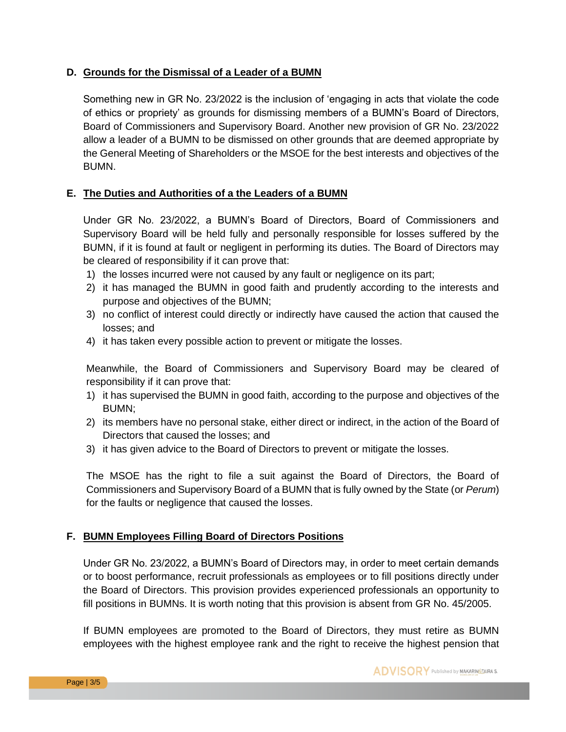#### **D. Grounds for the Dismissal of a Leader of a BUMN**

Something new in GR No. 23/2022 is the inclusion of 'engaging in acts that violate the code of ethics or propriety' as grounds for dismissing members of a BUMN's Board of Directors, Board of Commissioners and Supervisory Board. Another new provision of GR No. 23/2022 allow a leader of a BUMN to be dismissed on other grounds that are deemed appropriate by the General Meeting of Shareholders or the MSOE for the best interests and objectives of the BUMN.

#### **E. The Duties and Authorities of a the Leaders of a BUMN**

Under GR No. 23/2022, a BUMN's Board of Directors, Board of Commissioners and Supervisory Board will be held fully and personally responsible for losses suffered by the BUMN, if it is found at fault or negligent in performing its duties. The Board of Directors may be cleared of responsibility if it can prove that:

- 1) the losses incurred were not caused by any fault or negligence on its part;
- 2) it has managed the BUMN in good faith and prudently according to the interests and purpose and objectives of the BUMN;
- 3) no conflict of interest could directly or indirectly have caused the action that caused the losses; and
- 4) it has taken every possible action to prevent or mitigate the losses.

Meanwhile, the Board of Commissioners and Supervisory Board may be cleared of responsibility if it can prove that:

- 1) it has supervised the BUMN in good faith, according to the purpose and objectives of the BUMN;
- 2) its members have no personal stake, either direct or indirect, in the action of the Board of Directors that caused the losses; and
- 3) it has given advice to the Board of Directors to prevent or mitigate the losses.

The MSOE has the right to file a suit against the Board of Directors, the Board of Commissioners and Supervisory Board of a BUMN that is fully owned by the State (or *Perum*) for the faults or negligence that caused the losses.

#### **F. BUMN Employees Filling Board of Directors Positions**

Under GR No. 23/2022, a BUMN's Board of Directors may, in order to meet certain demands or to boost performance, recruit professionals as employees or to fill positions directly under the Board of Directors. This provision provides experienced professionals an opportunity to fill positions in BUMNs. It is worth noting that this provision is absent from GR No. 45/2005.

If BUMN employees are promoted to the Board of Directors, they must retire as BUMN employees with the highest employee rank and the right to receive the highest pension that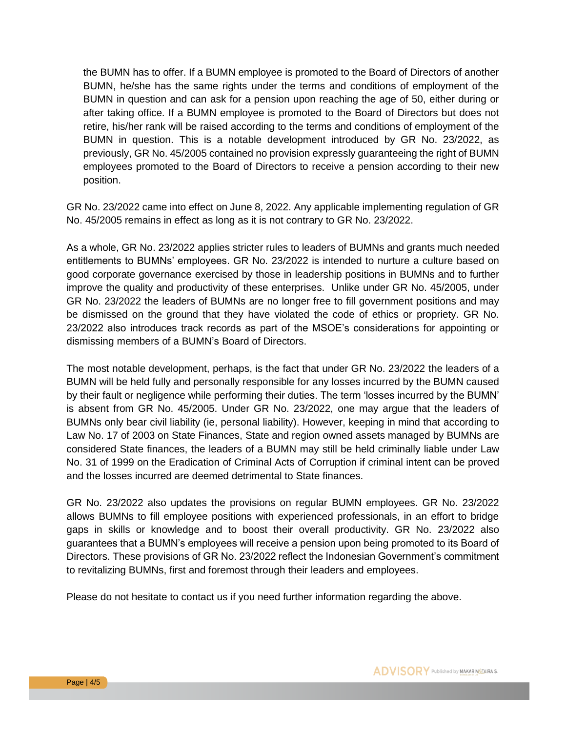the BUMN has to offer. If a BUMN employee is promoted to the Board of Directors of another BUMN, he/she has the same rights under the terms and conditions of employment of the BUMN in question and can ask for a pension upon reaching the age of 50, either during or after taking office. If a BUMN employee is promoted to the Board of Directors but does not retire, his/her rank will be raised according to the terms and conditions of employment of the BUMN in question. This is a notable development introduced by GR No. 23/2022, as previously, GR No. 45/2005 contained no provision expressly guaranteeing the right of BUMN employees promoted to the Board of Directors to receive a pension according to their new position.

GR No. 23/2022 came into effect on June 8, 2022. Any applicable implementing regulation of GR No. 45/2005 remains in effect as long as it is not contrary to GR No. 23/2022.

As a whole, GR No. 23/2022 applies stricter rules to leaders of BUMNs and grants much needed entitlements to BUMNs' employees. GR No. 23/2022 is intended to nurture a culture based on good corporate governance exercised by those in leadership positions in BUMNs and to further improve the quality and productivity of these enterprises. Unlike under GR No. 45/2005, under GR No. 23/2022 the leaders of BUMNs are no longer free to fill government positions and may be dismissed on the ground that they have violated the code of ethics or propriety. GR No. 23/2022 also introduces track records as part of the MSOE's considerations for appointing or dismissing members of a BUMN's Board of Directors.

The most notable development, perhaps, is the fact that under GR No. 23/2022 the leaders of a BUMN will be held fully and personally responsible for any losses incurred by the BUMN caused by their fault or negligence while performing their duties. The term 'losses incurred by the BUMN' is absent from GR No. 45/2005. Under GR No. 23/2022, one may argue that the leaders of BUMNs only bear civil liability (ie, personal liability). However, keeping in mind that according to Law No. 17 of 2003 on State Finances, State and region owned assets managed by BUMNs are considered State finances, the leaders of a BUMN may still be held criminally liable under Law No. 31 of 1999 on the Eradication of Criminal Acts of Corruption if criminal intent can be proved and the losses incurred are deemed detrimental to State finances.

GR No. 23/2022 also updates the provisions on regular BUMN employees. GR No. 23/2022 allows BUMNs to fill employee positions with experienced professionals, in an effort to bridge gaps in skills or knowledge and to boost their overall productivity. GR No. 23/2022 also guarantees that a BUMN's employees will receive a pension upon being promoted to its Board of Directors. These provisions of GR No. 23/2022 reflect the Indonesian Government's commitment to revitalizing BUMNs, first and foremost through their leaders and employees.

Please do not hesitate to contact us if you need further information regarding the above.